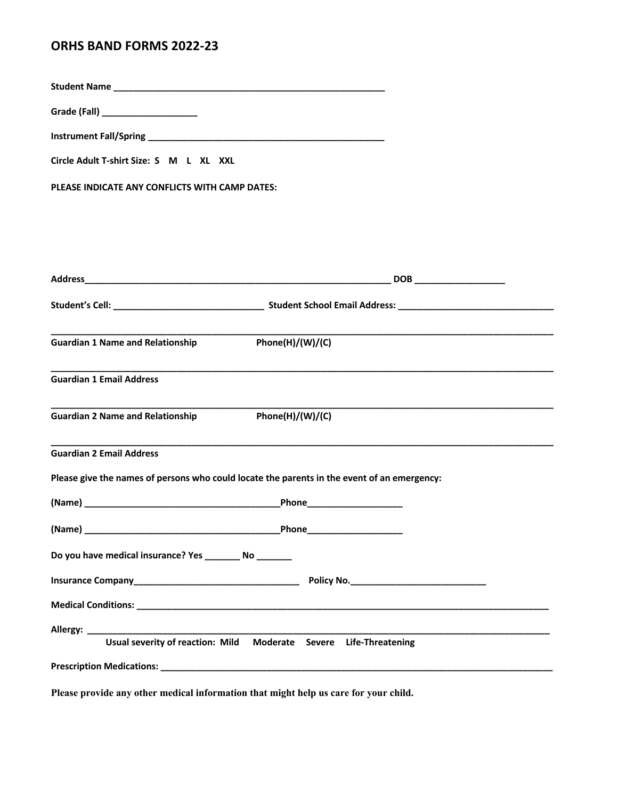## **ORHS BAND FORMS 2022-23**

**Student Name \_\_\_\_\_\_\_\_\_\_\_\_\_\_\_\_\_\_\_\_\_\_\_\_\_\_\_\_\_\_\_\_\_\_\_\_\_\_\_\_\_\_\_\_\_\_\_\_\_\_\_\_\_\_**

**Grade (Fall) \_\_\_\_\_\_\_\_\_\_\_\_\_\_\_\_\_\_\_** 

**Instrument Fall/Spring \_\_\_\_\_\_\_\_\_\_\_\_\_\_\_\_\_\_\_\_\_\_\_\_\_\_\_\_\_\_\_\_\_\_\_\_\_\_\_\_\_\_\_\_\_\_\_**

| Circle Adult T-shirt Size: S M L XL XXL |  |  |  |  |
|-----------------------------------------|--|--|--|--|
|-----------------------------------------|--|--|--|--|

**PLEASE INDICATE ANY CONFLICTS WITH CAMP DATES:**

| <b>Guardian 1 Name and Relationship</b>                     | Phone(H)/(W)/(C)                                                                                                                                                                                                              |
|-------------------------------------------------------------|-------------------------------------------------------------------------------------------------------------------------------------------------------------------------------------------------------------------------------|
| <b>Guardian 1 Email Address</b>                             |                                                                                                                                                                                                                               |
| <b>Guardian 2 Name and Relationship</b>                     | Phone(H)/(W)/(C)                                                                                                                                                                                                              |
| <b>Guardian 2 Email Address</b>                             |                                                                                                                                                                                                                               |
|                                                             | Please give the names of persons who could locate the parents in the event of an emergency:                                                                                                                                   |
|                                                             |                                                                                                                                                                                                                               |
|                                                             |                                                                                                                                                                                                                               |
| Do you have medical insurance? Yes ___________ No _________ |                                                                                                                                                                                                                               |
|                                                             |                                                                                                                                                                                                                               |
|                                                             |                                                                                                                                                                                                                               |
|                                                             |                                                                                                                                                                                                                               |
|                                                             | Usual severity of reaction: Mild Moderate Severe Life-Threatening                                                                                                                                                             |
|                                                             | Prescription Medications: with a state of the control of the control of the control of the control of the control of the control of the control of the control of the control of the control of the control of the control of |

**Please provide any other medical information that might help us care for your child.**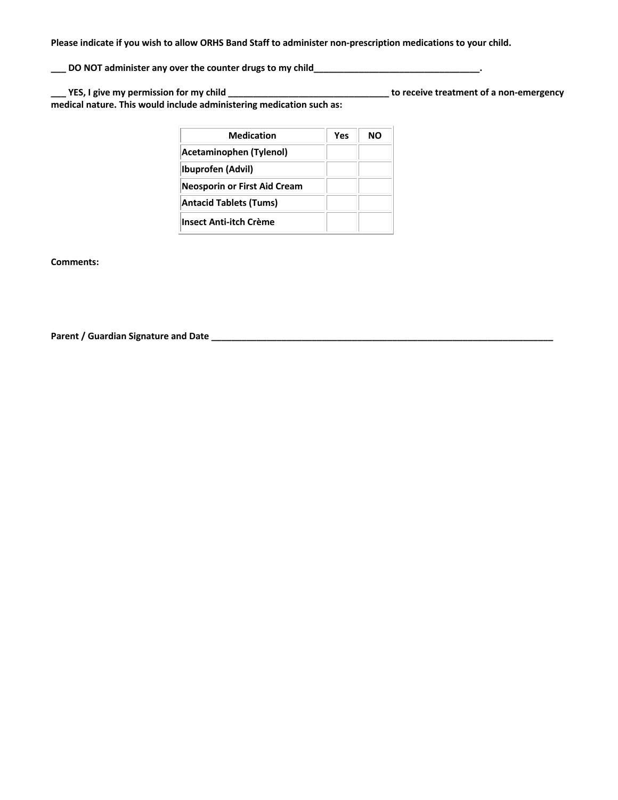**Please indicate if you wish to allow ORHS Band Staff to administer non-prescription medications to your child.**

**\_\_\_ DO NOT administer any over the counter drugs to my child\_\_\_\_\_\_\_\_\_\_\_\_\_\_\_\_\_\_\_\_\_\_\_\_\_\_\_\_\_\_\_\_\_.**

**\_\_\_ YES, I give my permission for my child \_\_\_\_\_\_\_\_\_\_\_\_\_\_\_\_\_\_\_\_\_\_\_\_\_\_\_\_\_\_\_\_ to receive treatment of a non-emergency medical nature. This would include administering medication such as:**

| <b>Medication</b>                   | Yes | חח |
|-------------------------------------|-----|----|
| Acetaminophen (Tylenol)             |     |    |
| Ibuprofen (Advil)                   |     |    |
| <b>Neosporin or First Aid Cream</b> |     |    |
| <b>Antacid Tablets (Tums)</b>       |     |    |
| <b>Insect Anti-itch Crème</b>       |     |    |

**Comments:** 

**Parent / Guardian Signature and Date \_\_\_\_\_\_\_\_\_\_\_\_\_\_\_\_\_\_\_\_\_\_\_\_\_\_\_\_\_\_\_\_\_\_\_\_\_\_\_\_\_\_\_\_\_\_\_\_\_\_\_\_\_\_\_\_\_\_\_\_\_\_\_\_\_\_\_\_**